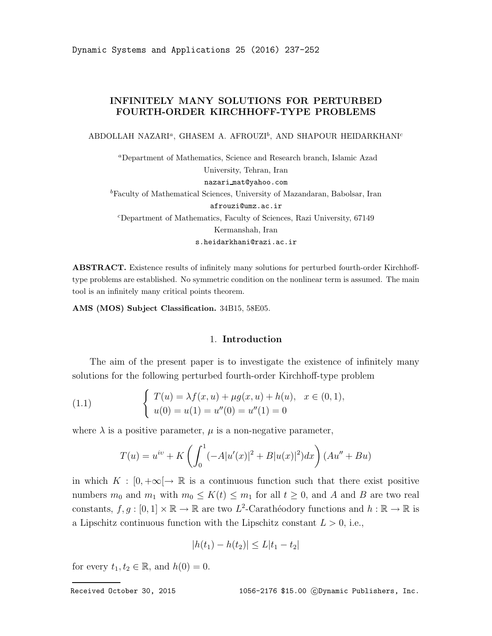# INFINITELY MANY SOLUTIONS FOR PERTURBED FOURTH-ORDER KIRCHHOFF-TYPE PROBLEMS

ABDOLLAH NAZARI<sup>a</sup>, GHASEM A. AFROUZI<sup>b</sup>, AND SHAPOUR HEIDARKHANI<sup>c</sup>

<sup>a</sup>Department of Mathematics, Science and Research branch, Islamic Azad University, Tehran, Iran nazari mat@yahoo.com <sup>b</sup>Faculty of Mathematical Sciences, University of Mazandaran, Babolsar, Iran afrouzi@umz.ac.ir <sup>c</sup>Department of Mathematics, Faculty of Sciences, Razi University, 67149 Kermanshah, Iran s.heidarkhani@razi.ac.ir

ABSTRACT. Existence results of infinitely many solutions for perturbed fourth-order Kirchhofftype problems are established. No symmetric condition on the nonlinear term is assumed. The main tool is an infinitely many critical points theorem.

AMS (MOS) Subject Classification. 34B15, 58E05.

## 1. Introduction

The aim of the present paper is to investigate the existence of infinitely many solutions for the following perturbed fourth-order Kirchhoff-type problem

(1.1) 
$$
\begin{cases} T(u) = \lambda f(x, u) + \mu g(x, u) + h(u), & x \in (0, 1), \\ u(0) = u(1) = u''(0) = u''(1) = 0 \end{cases}
$$

where  $\lambda$  is a positive parameter,  $\mu$  is a non-negative parameter,

$$
T(u) = uiv + K \left( \int_0^1 (-A|u'(x)|^2 + B|u(x)|^2) dx \right) (Au'' + Bu)
$$

in which  $K : [0, +\infty] \to \mathbb{R}$  is a continuous function such that there exist positive numbers  $m_0$  and  $m_1$  with  $m_0 \leq K(t) \leq m_1$  for all  $t \geq 0$ , and A and B are two real constants,  $f, g : [0, 1] \times \mathbb{R} \to \mathbb{R}$  are two  $L^2$ -Carathéodory functions and  $h : \mathbb{R} \to \mathbb{R}$  is a Lipschitz continuous function with the Lipschitz constant  $L > 0$ , i.e.,

$$
|h(t_1) - h(t_2)| \le L|t_1 - t_2|
$$

for every  $t_1, t_2 \in \mathbb{R}$ , and  $h(0) = 0$ .

Received October 30, 2015 1056-2176 \$15.00 CDynamic Publishers, Inc.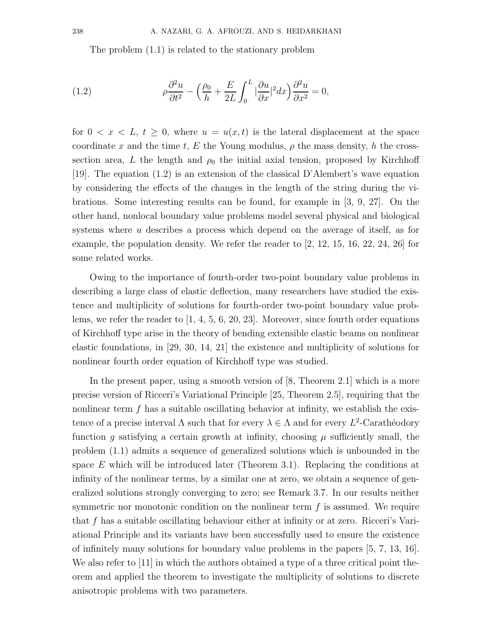The problem (1.1) is related to the stationary problem

(1.2) 
$$
\rho \frac{\partial^2 u}{\partial t^2} - \left(\frac{\rho_0}{h} + \frac{E}{2L} \int_0^L |\frac{\partial u}{\partial x}|^2 dx\right) \frac{\partial^2 u}{\partial x^2} = 0,
$$

for  $0 < x < L$ ,  $t \geq 0$ , where  $u = u(x, t)$  is the lateral displacement at the space coordinate x and the time t, E the Young modulus,  $\rho$  the mass density, h the crosssection area, L the length and  $\rho_0$  the initial axial tension, proposed by Kirchhoff [19]. The equation (1.2) is an extension of the classical D'Alembert's wave equation by considering the effects of the changes in the length of the string during the vibrations. Some interesting results can be found, for example in [3, 9, 27]. On the other hand, nonlocal boundary value problems model several physical and biological systems where u describes a process which depend on the average of itself, as for example, the population density. We refer the reader to [2, 12, 15, 16, 22, 24, 26] for some related works.

Owing to the importance of fourth-order two-point boundary value problems in describing a large class of elastic deflection, many researchers have studied the existence and multiplicity of solutions for fourth-order two-point boundary value problems, we refer the reader to  $[1, 4, 5, 6, 20, 23]$ . Moreover, since fourth order equations of Kirchhoff type arise in the theory of bending extensible elastic beams on nonlinear elastic foundations, in [29, 30, 14, 21] the existence and multiplicity of solutions for nonlinear fourth order equation of Kirchhoff type was studied.

In the present paper, using a smooth version of [8, Theorem 2.1] which is a more precise version of Ricceri's Variational Principle [25, Theorem 2.5], requiring that the nonlinear term  $f$  has a suitable oscillating behavior at infinity, we establish the existence of a precise interval  $\Lambda$  such that for every  $\lambda \in \Lambda$  and for every  $L^2$ -Carathéodory function g satisfying a certain growth at infinity, choosing  $\mu$  sufficiently small, the problem (1.1) admits a sequence of generalized solutions which is unbounded in the space E which will be introduced later (Theorem 3.1). Replacing the conditions at infinity of the nonlinear terms, by a similar one at zero, we obtain a sequence of generalized solutions strongly converging to zero; see Remark 3.7. In our results neither symmetric nor monotonic condition on the nonlinear term  $f$  is assumed. We require that f has a suitable oscillating behaviour either at infinity or at zero. Ricceri's Variational Principle and its variants have been successfully used to ensure the existence of infinitely many solutions for boundary value problems in the papers [5, 7, 13, 16]. We also refer to [11] in which the authors obtained a type of a three critical point theorem and applied the theorem to investigate the multiplicity of solutions to discrete anisotropic problems with two parameters.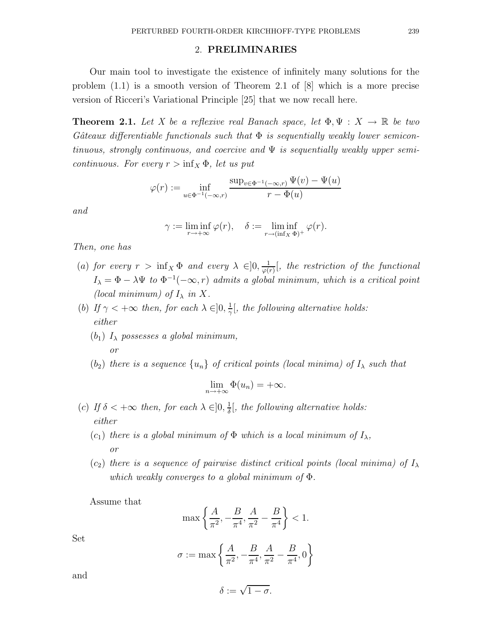### 2. PRELIMINARIES

Our main tool to investigate the existence of infinitely many solutions for the problem (1.1) is a smooth version of Theorem 2.1 of [8] which is a more precise version of Ricceri's Variational Principle [25] that we now recall here.

**Theorem 2.1.** Let X be a reflexive real Banach space, let  $\Phi, \Psi : X \to \mathbb{R}$  be two Gâteaux differentiable functionals such that  $\Phi$  is sequentially weakly lower semicontinuous, strongly continuous, and coercive and  $\Psi$  is sequentially weakly upper semicontinuous. For every  $r > inf<sub>X</sub> \Phi$ , let us put

$$
\varphi(r) := \inf_{u \in \Phi^{-1}(-\infty, r)} \frac{\sup_{v \in \Phi^{-1}(-\infty, r)} \Psi(v) - \Psi(u)}{r - \Phi(u)}
$$

and

$$
\gamma := \liminf_{r \to +\infty} \varphi(r), \quad \delta := \liminf_{r \to (\inf_X \Phi)^+} \varphi(r).
$$

Then, one has

- (a) for every  $r > \inf_X \Phi$  and every  $\lambda \in ]0, \frac{1}{\varphi(n)}$  $\frac{1}{\varphi(r)}$ , the restriction of the functional  $I_{\lambda} = \Phi - \lambda \Psi$  to  $\Phi^{-1}(-\infty, r)$  admits a global minimum, which is a critical point (local minimum) of  $I_{\lambda}$  in X.
- (b) If  $\gamma < +\infty$  then, for each  $\lambda \in ]0, \frac{1}{\gamma}$  $\frac{1}{\gamma}$ , the following alternative holds: either
	- $(b_1)$   $I_{\lambda}$  possesses a global minimum, or
	- $(b_2)$  there is a sequence  $\{u_n\}$  of critical points (local minima) of  $I_\lambda$  such that

$$
\lim_{n \to +\infty} \Phi(u_n) = +\infty.
$$

- (c) If  $\delta < +\infty$  then, for each  $\lambda \in ]0, \frac{1}{\delta}]$  $\frac{1}{\delta}$ , the following alternative holds: either
	- $(c_1)$  there is a global minimum of  $\Phi$  which is a local minimum of  $I_\lambda$ , or
	- $(c_2)$  there is a sequence of pairwise distinct critical points (local minima) of  $I_\lambda$ which weakly converges to a global minimum of  $\Phi$ .

Assume that

$$
\max\left\{\frac{A}{\pi^2}, -\frac{B}{\pi^4}, \frac{A}{\pi^2} - \frac{B}{\pi^4}\right\} < 1.
$$

Set

$$
\sigma := \max \left\{ \frac{A}{\pi^2}, -\frac{B}{\pi^4}, \frac{A}{\pi^2} - \frac{B}{\pi^4}, 0 \right\}
$$

and

$$
\delta := \sqrt{1-\sigma}.
$$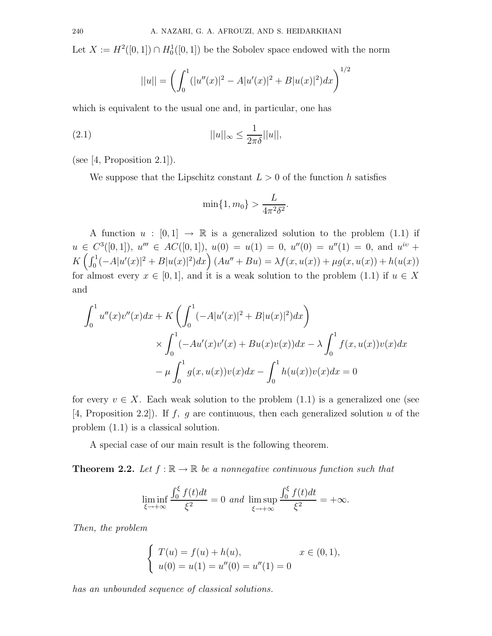Let  $X := H^2([0,1]) \cap H_0^1([0,1])$  be the Sobolev space endowed with the norm

$$
||u|| = \left(\int_0^1 (|u''(x)|^2 - A|u'(x)|^2 + B|u(x)|^2) dx\right)^{1/2}
$$

which is equivalent to the usual one and, in particular, one has

$$
||u||_{\infty} \le \frac{1}{2\pi\delta}||u||,
$$

(see  $[4,$  Proposition 2.1]).

We suppose that the Lipschitz constant  $L > 0$  of the function h satisfies

$$
\min\{1, m_0\} > \frac{L}{4\pi^2 \delta^2}.
$$

A function  $u : [0,1] \rightarrow \mathbb{R}$  is a generalized solution to the problem (1.1) if  $u \in C^3([0,1]), u'' \in AC([0,1]), u(0) = u(1) = 0, u''(0) = u''(1) = 0, \text{ and } u^{iv} +$  $K\left(\int_0^1(-A|u'(x)|^2+B|u(x)|^2)dx\right)(Au''+Bu) = \lambda f(x,u(x))+\mu g(x,u(x))+h(u(x))$ for almost every  $x \in [0,1]$ , and it is a weak solution to the problem (1.1) if  $u \in X$ and

$$
\int_0^1 u''(x)v''(x)dx + K\left(\int_0^1 (-A|u'(x)|^2 + B|u(x)|^2)dx\right)
$$
  
\$\times \int\_0^1 (-Au'(x)v'(x) + Bu(x)v(x))dx - \lambda \int\_0^1 f(x, u(x))v(x)dx\$  
–  $\mu \int_0^1 g(x, u(x))v(x)dx - \int_0^1 h(u(x))v(x)dx = 0$ 

for every  $v \in X$ . Each weak solution to the problem  $(1.1)$  is a generalized one (see [4, Proposition 2.2]). If f, g are continuous, then each generalized solution u of the problem (1.1) is a classical solution.

A special case of our main result is the following theorem.

**Theorem 2.2.** Let  $f : \mathbb{R} \to \mathbb{R}$  be a nonnegative continuous function such that

$$
\liminf_{\xi \to +\infty} \frac{\int_0^{\xi} f(t)dt}{\xi^2} = 0 \text{ and } \limsup_{\xi \to +\infty} \frac{\int_0^{\xi} f(t)dt}{\xi^2} = +\infty.
$$

Then, the problem

$$
\begin{cases}\nT(u) = f(u) + h(u), & x \in (0, 1), \\
u(0) = u(1) = u''(0) = u''(1) = 0\n\end{cases}
$$

has an unbounded sequence of classical solutions.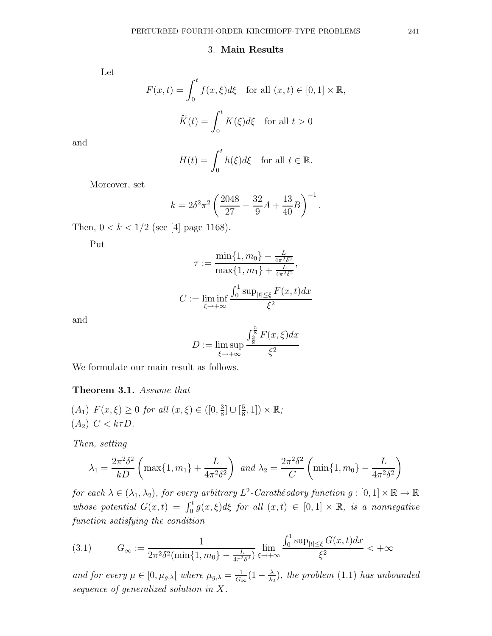### 3. Main Results

Let

$$
F(x,t) = \int_0^t f(x,\xi)d\xi \quad \text{for all } (x,t) \in [0,1] \times \mathbb{R},
$$

$$
\widetilde{K}(t) = \int_0^t K(\xi)d\xi \quad \text{for all } t > 0
$$

and

$$
H(t) = \int_0^t h(\xi) d\xi \quad \text{for all } t \in \mathbb{R}.
$$

Moreover, set

$$
k = 2\delta^2 \pi^2 \left(\frac{2048}{27} - \frac{32}{9}A + \frac{13}{40}B\right)^{-1}.
$$

Then,  $0 < k < 1/2$  (see [4] page 1168).

Put

$$
\tau := \frac{\min\{1, m_0\} - \frac{L}{4\pi^2 \delta^2}}{\max\{1, m_1\} + \frac{L}{4\pi^2 \delta^2}},
$$

$$
C := \liminf_{\xi \to +\infty} \frac{\int_0^1 \sup_{|t| \le \xi} F(x, t) dx}{\xi^2}
$$

and

$$
D := \limsup_{\xi \to +\infty} \frac{\int_{\frac{3}{8}}^{\frac{5}{8}} F(x,\xi) dx}{\xi^2}
$$

We formulate our main result as follows.

# Theorem 3.1. Assume that

 $(A_1)$   $F(x,\xi) \ge 0$  for all  $(x,\xi) \in ([0, \frac{3}{8})]$  $\frac{3}{8}$ ] ∪  $\left[\frac{5}{8}\right]$  $\frac{5}{8}, 1]$ ) × R;  $(A_2)$   $C < k\tau D$ .

Then, setting

$$
\lambda_1 = \frac{2\pi^2 \delta^2}{kD} \left( \max\{1, m_1\} + \frac{L}{4\pi^2 \delta^2} \right) \text{ and } \lambda_2 = \frac{2\pi^2 \delta^2}{C} \left( \min\{1, m_0\} - \frac{L}{4\pi^2 \delta^2} \right)
$$

for each  $\lambda \in (\lambda_1, \lambda_2)$ , for every arbitrary  $L^2$ -Carathéodory function  $g : [0, 1] \times \mathbb{R} \to \mathbb{R}$ whose potential  $G(x,t) = \int_0^t g(x,\xi) d\xi$  for all  $(x,t) \in [0,1] \times \mathbb{R}$ , is a nonnegative function satisfying the condition

$$
(3.1) \tG_{\infty} := \frac{1}{2\pi^2 \delta^2 (\min\{1, m_0\} - \frac{L}{4\pi^2 \delta^2})} \lim_{\xi \to +\infty} \frac{\int_0^1 \sup_{|t| \le \xi} G(x, t) dx}{\xi^2} < +\infty
$$

and for every  $\mu \in [0, \mu_{g,\lambda}]$  where  $\mu_{g,\lambda} = \frac{1}{G_c}$  $\frac{1}{G_{\infty}}(1-\frac{\lambda}{\lambda_2}% )^{2}e_{\infty}^{\ast}e_{\infty}^{\ast}e_{\infty}^{\ast}e_{\infty}^{\ast}e_{\infty}^{\ast}e_{\infty}^{\ast}e_{\infty}^{\ast}e_{\infty}^{\ast}e_{\infty}^{\ast}e_{\infty}^{\ast}e_{\infty}^{\ast}e_{\infty}^{\ast}e_{\infty}^{\ast}e_{\infty}^{\ast}e_{\infty}^{\ast}e_{\infty}^{\ast}e_{\infty}^{\ast}e_{\infty}^{\ast}e_{\infty}^{\ast}e_{\$  $\frac{\lambda}{\lambda_2}$ , the problem (1.1) has unbounded sequence of generalized solution in X.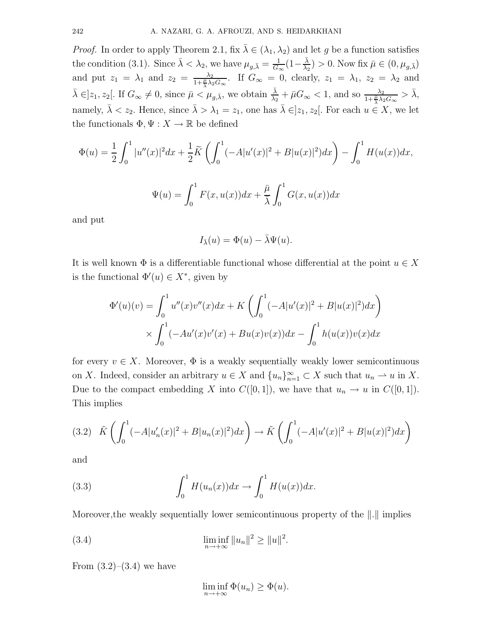*Proof.* In order to apply Theorem 2.1, fix  $\bar{\lambda} \in (\lambda_1, \lambda_2)$  and let q be a function satisfies the condition (3.1). Since  $\bar{\lambda} < \lambda_2$ , we have  $\mu_{g,\bar{\lambda}} = \frac{1}{G_c}$  $\frac{1}{G_{\infty}}(1-\frac{\bar{\lambda}}{\lambda_2}% )^{2}$  $\frac{\lambda}{\lambda_2}$ ) > 0. Now fix  $\bar{\mu} \in (0, \mu_{g,\bar{\lambda}})$ and put  $z_1 = \lambda_1$  and  $z_2 = \frac{\lambda_2}{1 + \frac{\mu}{\lambda} \lambda_2 G_{\infty}}$ . If  $G_{\infty} = 0$ , clearly,  $z_1 = \lambda_1$ ,  $z_2 = \lambda_2$  and  $\bar{\lambda} \in ]z_1, z_2[$ . If  $G_{\infty} \neq 0$ , since  $\bar{\mu} < \mu_{g,\bar{\lambda}}$ , we obtain  $\frac{\bar{\lambda}}{\lambda_2} + \bar{\mu}G_{\infty} < 1$ , and so  $\frac{\lambda_2}{1 + \frac{\bar{\mu}}{\lambda} \lambda_2 G_{\infty}} > \bar{\lambda}$ , namely,  $\bar{\lambda} < z_2$ . Hence, since  $\bar{\lambda} > \lambda_1 = z_1$ , one has  $\bar{\lambda} \in ]z_1, z_2[$ . For each  $u \in X$ , we let the functionals  $\Phi, \Psi : X \to \mathbb{R}$  be defined

$$
\Phi(u) = \frac{1}{2} \int_0^1 |u''(x)|^2 dx + \frac{1}{2} \widetilde{K} \left( \int_0^1 (-A|u'(x)|^2 + B|u(x)|^2) dx \right) - \int_0^1 H(u(x)) dx,
$$
  

$$
\Psi(u) = \int_0^1 F(x, u(x)) dx + \frac{\bar{\mu}}{\lambda} \int_0^1 G(x, u(x)) dx
$$

and put

$$
I_{\bar{\lambda}}(u) = \Phi(u) - \bar{\lambda}\Psi(u).
$$

It is well known  $\Phi$  is a differentiable functional whose differential at the point  $u \in X$ is the functional  $\Phi'(u) \in X^*$ , given by

$$
\Phi'(u)(v) = \int_0^1 u''(x)v''(x)dx + K\left(\int_0^1 (-A|u'(x)|^2 + B|u(x)|^2)dx\right)
$$
  
 
$$
\times \int_0^1 (-Au'(x)v'(x) + Bu(x)v(x))dx - \int_0^1 h(u(x))v(x)dx
$$

for every  $v \in X$ . Moreover,  $\Phi$  is a weakly sequentially weakly lower semicontinuous on X. Indeed, consider an arbitrary  $u \in X$  and  $\{u_n\}_{n=1}^{\infty} \subset X$  such that  $u_n \rightharpoonup u$  in X. Due to the compact embedding X into  $C([0, 1])$ , we have that  $u_n \to u$  in  $C([0, 1])$ . This implies

$$
(3.2)\quad \tilde{K}\left(\int_0^1 (-A|u_n'(x)|^2 + B|u_n(x)|^2)dx\right) \to \tilde{K}\left(\int_0^1 (-A|u'(x)|^2 + B|u(x)|^2)dx\right)
$$

and

(3.3) 
$$
\int_0^1 H(u_n(x))dx \to \int_0^1 H(u(x))dx.
$$

Moreover, the weakly sequentially lower semicontinuous property of the  $\Vert . \Vert$  implies

(3.4) 
$$
\liminf_{n \to +\infty} ||u_n||^2 \ge ||u||^2.
$$

From  $(3.2)$ – $(3.4)$  we have

$$
\liminf_{n \to +\infty} \Phi(u_n) \ge \Phi(u).
$$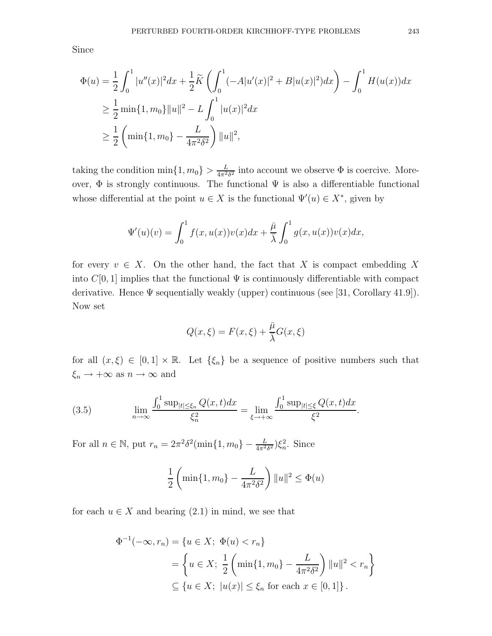Since

$$
\Phi(u) = \frac{1}{2} \int_0^1 |u''(x)|^2 dx + \frac{1}{2} \widetilde{K} \left( \int_0^1 (-A|u'(x)|^2 + B|u(x)|^2) dx \right) - \int_0^1 H(u(x)) dx
$$
  
\n
$$
\geq \frac{1}{2} \min\{1, m_0\} ||u||^2 - L \int_0^1 |u(x)|^2 dx
$$
  
\n
$$
\geq \frac{1}{2} \left( \min\{1, m_0\} - \frac{L}{4\pi^2 \delta^2} \right) ||u||^2,
$$

taking the condition  $\min\{1, m_0\} > \frac{L}{4\pi^2 \delta^2}$  into account we observe  $\Phi$  is coercive. Moreover,  $\Phi$  is strongly continuous. The functional  $\Psi$  is also a differentiable functional whose differential at the point  $u \in X$  is the functional  $\Psi'(u) \in X^*$ , given by

$$
\Psi'(u)(v) = \int_0^1 f(x, u(x))v(x)dx + \frac{\overline{\mu}}{\overline{\lambda}} \int_0^1 g(x, u(x))v(x)dx,
$$

for every  $v \in X$ . On the other hand, the fact that X is compact embedding X into  $C[0, 1]$  implies that the functional  $\Psi$  is continuously differentiable with compact derivative. Hence  $\Psi$  sequentially weakly (upper) continuous (see [31, Corollary 41.9]). Now set

$$
Q(x,\xi) = F(x,\xi) + \frac{\bar{\mu}}{\bar{\lambda}}G(x,\xi)
$$

for all  $(x,\xi) \in [0,1] \times \mathbb{R}$ . Let  $\{\xi_n\}$  be a sequence of positive numbers such that  $\xi_n \to +\infty$  as  $n \to \infty$  and

(3.5) 
$$
\lim_{n \to \infty} \frac{\int_0^1 \sup_{|t| \le \xi_n} Q(x, t) dx}{\xi_n^2} = \lim_{\xi \to +\infty} \frac{\int_0^1 \sup_{|t| \le \xi} Q(x, t) dx}{\xi^2}.
$$

For all  $n \in \mathbb{N}$ , put  $r_n = 2\pi^2 \delta^2(\min\{1, m_0\} - \frac{L}{4\pi^2 \delta^2})\xi_n^2$ . Since

$$
\frac{1}{2} \left( \min\{1, m_0\} - \frac{L}{4\pi^2 \delta^2} \right) ||u||^2 \le \Phi(u)
$$

for each  $u \in X$  and bearing  $(2.1)$  in mind, we see that

$$
\Phi^{-1}(-\infty, r_n) = \{u \in X; \ \Phi(u) < r_n\}
$$
\n
$$
= \left\{ u \in X; \ \frac{1}{2} \left( \min\{1, m_0\} - \frac{L}{4\pi^2 \delta^2} \right) ||u||^2 < r_n \right\}
$$
\n
$$
\subseteq \{u \in X; \ |u(x)| \le \xi_n \text{ for each } x \in [0, 1] \}.
$$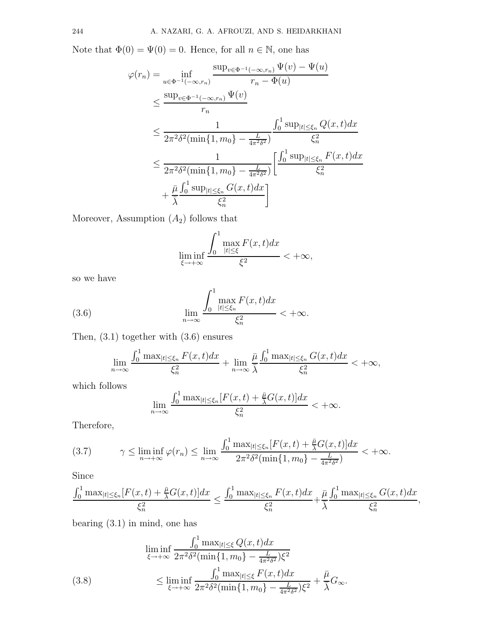Note that  $\Phi(0) = \Psi(0) = 0$ . Hence, for all  $n \in \mathbb{N}$ , one has

$$
\varphi(r_n) = \inf_{u \in \Phi^{-1}(-\infty, r_n)} \frac{\sup_{v \in \Phi^{-1}(-\infty, r_n)} \Psi(v) - \Psi(u)}{r_n - \Phi(u)}
$$
  

$$
\leq \frac{\sup_{v \in \Phi^{-1}(-\infty, r_n)} \Psi(v)}{r_n}
$$
  

$$
\leq \frac{1}{2\pi^2 \delta^2 (\min\{1, m_0\} - \frac{L}{4\pi^2 \delta^2})} \int_0^1 \frac{\sup_{|t| \leq \xi_n} Q(x, t) dx}{\xi_n^2}
$$
  

$$
\leq \frac{1}{2\pi^2 \delta^2 (\min\{1, m_0\} - \frac{L}{4\pi^2 \delta^2})} \left[ \frac{\int_0^1 \sup_{|t| \leq \xi_n} F(x, t) dx}{\xi_n^2} + \frac{\bar{\mu} \int_0^1 \sup_{|t| \leq \xi_n} G(x, t) dx}{\xi_n^2} \right]
$$

Moreover, Assumption  $(A_2)$  follows that

$$
\liminf_{\xi \to +\infty} \frac{\int_0^1 \max_{|t| \le \xi} F(x, t) dx}{\xi^2} < +\infty,
$$

so we have

(3.6) 
$$
\lim_{n \to \infty} \frac{\int_0^1 \max_{|t| \le \xi_n} F(x, t) dx}{\xi_n^2} < +\infty.
$$

Then, (3.1) together with (3.6) ensures

$$
\lim_{n\to\infty}\frac{\int_0^1 \max_{|t|\leq \xi_n} F(x,t)dx}{\xi_n^2} + \lim_{n\to\infty}\frac{\bar{\mu}}{\bar{\lambda}}\frac{\int_0^1 \max_{|t|\leq \xi_n} G(x,t)dx}{\xi_n^2} < +\infty,
$$

which follows

$$
\lim_{n\to\infty}\frac{\int_0^1 \max_{|t|\leq \xi_n}[F(x,t)+\frac{\bar{\mu}}{\lambda}G(x,t)]dx}{\xi_n^2}<+\infty.
$$

Therefore,

$$
(3.7) \qquad \gamma \leq \liminf_{n \to +\infty} \varphi(r_n) \leq \lim_{n \to \infty} \frac{\int_0^1 \max_{|t| \leq \xi_n} [F(x,t) + \frac{\bar{\mu}}{\lambda} G(x,t)] dx}{2\pi^2 \delta^2 (\min\{1, m_0\} - \frac{L}{4\pi^2 \delta^2})} < +\infty.
$$

Since

$$
\frac{\int_0^1 \max_{|t| \le \xi_n} [F(x,t) + \frac{\bar{\mu}}{\lambda} G(x,t)] dx}{\xi_n^2} \le \frac{\int_0^1 \max_{|t| \le \xi_n} F(x,t) dx}{\xi_n^2} + \frac{\bar{\mu}}{\bar{\lambda}} \frac{\int_0^1 \max_{|t| \le \xi_n} G(x,t) dx}{\xi_n^2},
$$

bearing (3.1) in mind, one has

$$
\liminf_{\xi \to +\infty} \frac{\int_0^1 \max_{|t| \le \xi} Q(x, t) dx}{2\pi^2 \delta^2 (\min\{1, m_0\} - \frac{L}{4\pi^2 \delta^2}) \xi^2}
$$
\n
$$
\leq \liminf_{\xi \to +\infty} \frac{\int_0^1 \max_{|t| \le \xi} F(x, t) dx}{2\pi^2 \delta^2 (\min\{1, m_0\} - \frac{L}{4\pi^2 \delta^2}) \xi^2} + \frac{\bar{\mu}}{\bar{\lambda}} G_{\infty}.
$$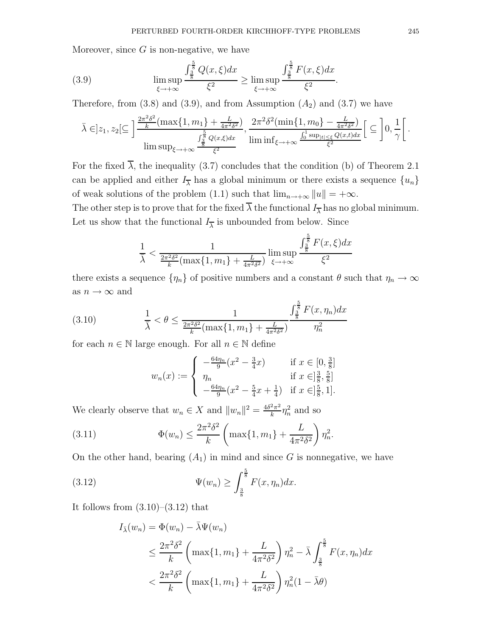Moreover, since  $G$  is non-negative, we have

(3.9) 
$$
\limsup_{\xi \to +\infty} \frac{\int_{\frac{3}{8}}^{\frac{5}{8}} Q(x,\xi) dx}{\xi^2} \ge \limsup_{\xi \to +\infty} \frac{\int_{\frac{3}{8}}^{\frac{5}{8}} F(x,\xi) dx}{\xi^2}.
$$

Therefore, from  $(3.8)$  and  $(3.9)$ , and from Assumption  $(A_2)$  and  $(3.7)$  we have

$$
\bar{\lambda} \in ]z_1, z_2[\subseteq]\frac{\frac{2\pi^2\delta^2}{k}(\max\{1, m_1\} + \frac{L}{4\pi^2\delta^2})}{\limsup_{\xi \to +\infty} \frac{\int_{\frac{5}{8}}^{\frac{5}{8}} Q(x,\xi)dx}{\xi^2}}, \frac{2\pi^2\delta^2(\min\{1, m_0\} - \frac{L}{4\pi^2\delta^2})}{\liminf_{\xi \to +\infty} \frac{\int_0^1 \sup_{|t| \le \xi} Q(x,t)dx}{\xi^2}} \Big[ \subseteq \left] 0, \frac{1}{\gamma} \right[.
$$

For the fixed  $\overline{\lambda}$ , the inequality (3.7) concludes that the condition (b) of Theorem 2.1 can be applied and either  $I_{\overline{\lambda}}$  has a global minimum or there exists a sequence  $\{u_n\}$ of weak solutions of the problem (1.1) such that  $\lim_{n\to+\infty} ||u|| = +\infty$ .

The other step is to prove that for the fixed  $\overline{\lambda}$  the functional  $I_{\overline{\lambda}}$  has no global minimum. Let us show that the functional  $I_{\overline{\lambda}}$  is unbounded from below. Since

$$
\frac{1}{\overline{\lambda}} < \frac{1}{\frac{2\pi^2 \delta^2}{k} (\max\{1, m_1\} + \frac{L}{4\pi^2 \delta^2})} \limsup_{\xi \to +\infty} \frac{\int_{\frac{3}{8}}^{\frac{5}{8}} F(x, \xi) dx}{\xi^2}
$$

there exists a sequence  $\{\eta_n\}$  of positive numbers and a constant  $\theta$  such that  $\eta_n \to \infty$ as  $n \to \infty$  and

(3.10) 
$$
\frac{1}{\overline{\lambda}} < \theta \le \frac{1}{\frac{2\pi^2 \delta^2}{k} (\max\{1, m_1\} + \frac{L}{4\pi^2 \delta^2})} \frac{\int_{\frac{3}{8}}^{\frac{5}{8}} F(x, \eta_n) dx}{\eta_n^2}
$$

for each  $n \in \mathbb{N}$  large enough. For all  $n \in \mathbb{N}$  define

$$
w_n(x) := \begin{cases} -\frac{64\eta_n}{9}(x^2 - \frac{3}{4}x) & \text{if } x \in [0, \frac{3}{8}] \\ \eta_n & \text{if } x \in ]\frac{3}{8}, \frac{5}{8}] \\ -\frac{64\eta_n}{9}(x^2 - \frac{5}{4}x + \frac{1}{4}) & \text{if } x \in ]\frac{5}{8}, 1]. \end{cases}
$$

.

We clearly observe that  $w_n \in X$  and  $||w_n||^2 = \frac{4\delta^2 \pi^2}{k}$  $\frac{2\pi^2}{k} \eta_n^2$  and so

(3.11) 
$$
\Phi(w_n) \le \frac{2\pi^2 \delta^2}{k} \left( \max\{1, m_1\} + \frac{L}{4\pi^2 \delta^2} \right) \eta_n^2
$$

On the other hand, bearing  $(A_1)$  in mind and since G is nonnegative, we have

(3.12) 
$$
\Psi(w_n) \ge \int_{\frac{3}{8}}^{\frac{5}{8}} F(x, \eta_n) dx.
$$

It follows from  $(3.10)$ – $(3.12)$  that

$$
I_{\bar{\lambda}}(w_n) = \Phi(w_n) - \bar{\lambda}\Psi(w_n)
$$
  
\n
$$
\leq \frac{2\pi^2 \delta^2}{k} \left( \max\{1, m_1\} + \frac{L}{4\pi^2 \delta^2} \right) \eta_n^2 - \bar{\lambda} \int_{\frac{3}{8}}^{\frac{5}{8}} F(x, \eta_n) dx
$$
  
\n
$$
< \frac{2\pi^2 \delta^2}{k} \left( \max\{1, m_1\} + \frac{L}{4\pi^2 \delta^2} \right) \eta_n^2 (1 - \bar{\lambda}\theta)
$$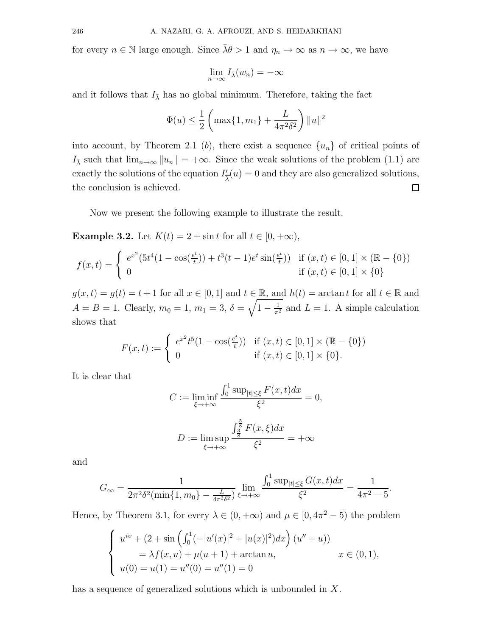for every  $n \in \mathbb{N}$  large enough. Since  $\bar{\lambda}\theta > 1$  and  $\eta_n \to \infty$  as  $n \to \infty$ , we have

$$
\lim_{n\to\infty} I_{\bar{\lambda}}(w_n) = -\infty
$$

and it follows that  $I_{\bar{\lambda}}$  has no global minimum. Therefore, taking the fact

$$
\Phi(u) \le \frac{1}{2} \left( \max\{1, m_1\} + \frac{L}{4\pi^2 \delta^2} \right) ||u||^2
$$

into account, by Theorem 2.1 (b), there exist a sequence  $\{u_n\}$  of critical points of I<sub>λ</sub> such that  $\lim_{n\to\infty} ||u_n|| = +\infty$ . Since the weak solutions of the problem (1.1) are exactly the solutions of the equation  $I'_7$  $\frac{1}{\lambda}(u) = 0$  and they are also generalized solutions, the conclusion is achieved.  $\Box$ 

Now we present the following example to illustrate the result.

**Example 3.2.** Let  $K(t) = 2 + \sin t$  for all  $t \in [0, +\infty)$ ,

$$
f(x,t) = \begin{cases} e^{x^2}(5t^4(1-\cos(\frac{e^t}{t}))+t^3(t-1)e^t\sin(\frac{e^t}{t})) & \text{if } (x,t) \in [0,1] \times (\mathbb{R}-\{0\})\\ 0 & \text{if } (x,t) \in [0,1] \times \{0\} \end{cases}
$$

 $g(x,t) = g(t) = t + 1$  for all  $x \in [0,1]$  and  $t \in \mathbb{R}$ , and  $h(t) = \arctan t$  for all  $t \in \mathbb{R}$  and  $A = B = 1$ . Clearly,  $m_0 = 1$ ,  $m_1 = 3$ ,  $\delta = \sqrt{1 - \frac{1}{\pi^2}}$  and  $L = 1$ . A simple calculation shows that

$$
F(x,t) := \begin{cases} e^{x^2} t^5 (1 - \cos(\frac{e^t}{t})) & \text{if } (x,t) \in [0,1] \times (\mathbb{R} - \{0\}) \\ 0 & \text{if } (x,t) \in [0,1] \times \{0\}. \end{cases}
$$

It is clear that

$$
C := \liminf_{\xi \to +\infty} \frac{\int_0^1 \sup_{|t| \le \xi} F(x, t) dx}{\xi^2} = 0,
$$
  

$$
D := \limsup_{\xi \to +\infty} \frac{\int_{\frac{3}{8}}^{\frac{5}{8}} F(x, \xi) dx}{\xi^2} = +\infty
$$

and

$$
G_{\infty} = \frac{1}{2\pi^2 \delta^2 (\min\{1, m_0\} - \frac{L}{4\pi^2 \delta^2})} \lim_{\xi \to +\infty} \frac{\int_0^1 \sup_{|t| \le \xi} G(x, t) dx}{\xi^2} = \frac{1}{4\pi^2 - 5}.
$$

Hence, by Theorem 3.1, for every  $\lambda \in (0, +\infty)$  and  $\mu \in [0, 4\pi^2 - 5)$  the problem

$$
\begin{cases}\n u^{iv} + (2 + \sin\left(\int_0^1 (-|u'(x)|^2 + |u(x)|^2) dx\right) (u'' + u)) \\
= \lambda f(x, u) + \mu(u + 1) + \arctan u, \\
 u(0) = u(1) = u''(0) = u''(1) = 0\n\end{cases}
$$
\n $x \in (0, 1),$ 

has a sequence of generalized solutions which is unbounded in X.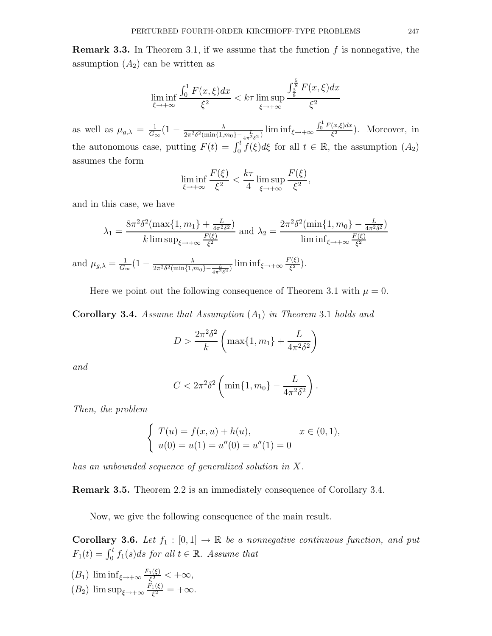**Remark 3.3.** In Theorem 3.1, if we assume that the function  $f$  is nonnegative, the assumption  $(A_2)$  can be written as

$$
\liminf_{\xi \to +\infty} \frac{\int_0^1 F(x,\xi)dx}{\xi^2} < k\tau \limsup_{\xi \to +\infty} \frac{\int_{\frac{3}{8}}^{\frac{5}{8}} F(x,\xi)dx}{\xi^2}
$$

as well as  $\mu_{g,\lambda} = \frac{1}{G}$  $\frac{1}{G_{\infty}}(1-\frac{\lambda}{2\pi^2\delta^2(\min\{1,n\}$  $\frac{\lambda}{2\pi^2\delta^2(\min\{1,m_0\}-\frac{L}{4\pi^2\delta^2})}\liminf_{\xi\to+\infty}\frac{\int_0^1 F(x,\xi)dx}{\xi^2}$  $\frac{f(x,\zeta)}{\zeta^2}$ ). Moreover, in the autonomous case, putting  $F(t) = \int_0^t \tilde{f}(\xi) d\xi$  for all  $t \in \mathbb{R}$ , the assumption  $(A_2)$ assumes the form

$$
\liminf_{\xi \to +\infty} \frac{F(\xi)}{\xi^2} < \frac{k\tau}{4} \limsup_{\xi \to +\infty} \frac{F(\xi)}{\xi^2},
$$

and in this case, we have

$$
\lambda_1 = \frac{8\pi^2 \delta^2 (\max\{1, m_1\} + \frac{L}{4\pi^2 \delta^2})}{k \limsup_{\xi \to +\infty} \frac{F(\xi)}{\xi^2}} \text{ and } \lambda_2 = \frac{2\pi^2 \delta^2 (\min\{1, m_0\} - \frac{L}{4\pi^2 \delta^2})}{\liminf_{\xi \to +\infty} \frac{F(\xi)}{\xi^2}}
$$

and  $\mu_{g,\lambda} = \frac{1}{G}$  $\frac{1}{G_{\infty}}(1-\frac{\lambda}{2\pi^2\delta^2(\min\{1,n\}$  $\frac{\lambda}{2\pi^2\delta^2(\min\{1,m_0\}-\frac{L}{4\pi^2\delta^2})}\liminf_{\xi\to+\infty}\frac{F(\xi)}{\xi^2}$  $\frac{(\xi)}{\xi^2}$ ).

Here we point out the following consequence of Theorem 3.1 with  $\mu = 0$ .

**Corollary 3.4.** Assume that Assumption  $(A_1)$  in Theorem 3.1 holds and

$$
D > \frac{2\pi^2 \delta^2}{k} \left( \max\{1, m_1\} + \frac{L}{4\pi^2 \delta^2} \right)
$$

and

$$
C<2\pi^2\delta^2\left(\min\{1,m_0\}-\frac{L}{4\pi^2\delta^2}\right).
$$

Then, the problem

$$
\begin{cases}\nT(u) = f(x, u) + h(u), & x \in (0, 1), \\
u(0) = u(1) = u''(0) = u''(1) = 0\n\end{cases}
$$

has an unbounded sequence of generalized solution in X.

Remark 3.5. Theorem 2.2 is an immediately consequence of Corollary 3.4.

Now, we give the following consequence of the main result.

**Corollary 3.6.** Let  $f_1 : [0,1] \to \mathbb{R}$  be a nonnegative continuous function, and put  $F_1(t) = \int_0^t f_1(s)ds$  for all  $t \in \mathbb{R}$ . Assume that

$$
(B_1) \liminf_{\xi \to +\infty} \frac{F_1(\xi)}{\xi^2} < +\infty,
$$
\n
$$
(B_2) \limsup_{\xi \to +\infty} \frac{F_1(\xi)}{\xi^2} = +\infty.
$$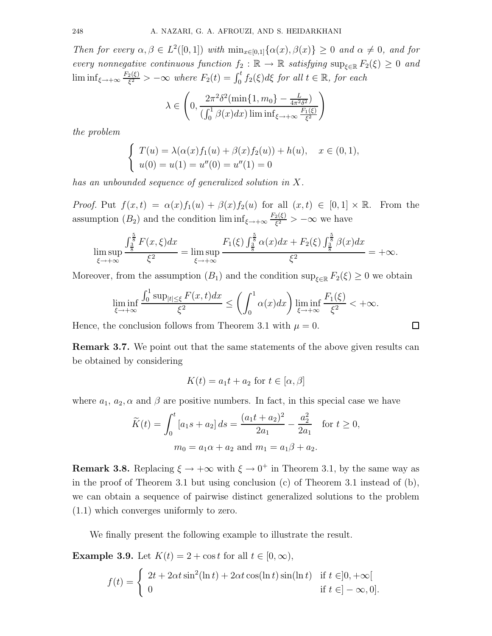Then for every  $\alpha, \beta \in L^2([0,1])$  with  $\min_{x \in [0,1]} {\alpha(x), \beta(x)} \geq 0$  and  $\alpha \neq 0$ , and for every nonnegative continuous function  $f_2 : \mathbb{R} \to \mathbb{R}$  satisfying  $\sup_{\xi \in \mathbb{R}} F_2(\xi) \geq 0$  and  $\liminf_{\xi \to +\infty} \frac{F_2(\xi)}{\xi^2}$  $\frac{\partial \phi(\xi)}{\xi^2}$  >  $-\infty$  where  $F_2(t) = \int_0^t f_2(\xi) d\xi$  for all  $t \in \mathbb{R}$ , for each

$$
\lambda \in \left(0, \frac{2\pi^2 \delta^2 (\min\{1, m_0\} - \frac{L}{4\pi^2 \delta^2})}{(\int_0^1 \beta(x) dx) \liminf_{\xi \to +\infty} \frac{F_1(\xi)}{\xi^2}}\right)
$$

the problem

$$
\begin{cases}\nT(u) = \lambda(\alpha(x)f_1(u) + \beta(x)f_2(u)) + h(u), & x \in (0,1), \\
u(0) = u(1) = u''(0) = u''(1) = 0\n\end{cases}
$$

has an unbounded sequence of generalized solution in X.

*Proof.* Put  $f(x,t) = \alpha(x)f_1(u) + \beta(x)f_2(u)$  for all  $(x,t) \in [0,1] \times \mathbb{R}$ . From the assumption  $(B_2)$  and the condition  $\liminf_{\xi \to +\infty} \frac{F_2(\xi)}{\xi^2}$  $\frac{2(\xi)}{\xi^2} > -\infty$  we have

$$
\limsup_{\xi \to +\infty} \frac{\int_{\frac{3}{8}}^{\frac{5}{8}} F(x,\xi) dx}{\xi^2} = \limsup_{\xi \to +\infty} \frac{F_1(\xi) \int_{\frac{3}{8}}^{\frac{5}{8}} \alpha(x) dx + F_2(\xi) \int_{\frac{3}{8}}^{\frac{5}{8}} \beta(x) dx}{\xi^2} = +\infty.
$$

Moreover, from the assumption  $(B_1)$  and the condition sup<sub> $\xi \in \mathbb{R}$ </sub>  $F_2(\xi) \geq 0$  we obtain

$$
\liminf_{\xi \to +\infty} \frac{\int_0^1 \sup_{|t| \le \xi} F(x,t) dx}{\xi^2} \le \left( \int_0^1 \alpha(x) dx \right) \liminf_{\xi \to +\infty} \frac{F_1(\xi)}{\xi^2} < +\infty.
$$

Hence, the conclusion follows from Theorem 3.1 with  $\mu = 0$ .

Remark 3.7. We point out that the same statements of the above given results can be obtained by considering

 $\Box$ 

$$
K(t) = a_1 t + a_2 \text{ for } t \in [\alpha, \beta]
$$

where  $a_1, a_2, \alpha$  and  $\beta$  are positive numbers. In fact, in this special case we have

$$
\widetilde{K}(t) = \int_0^t [a_1s + a_2] ds = \frac{(a_1t + a_2)^2}{2a_1} - \frac{a_2^2}{2a_1} \quad \text{for } t \ge 0,
$$

$$
m_0 = a_1\alpha + a_2 \text{ and } m_1 = a_1\beta + a_2.
$$

**Remark 3.8.** Replacing  $\xi \to +\infty$  with  $\xi \to 0^+$  in Theorem 3.1, by the same way as in the proof of Theorem 3.1 but using conclusion (c) of Theorem 3.1 instead of (b), we can obtain a sequence of pairwise distinct generalized solutions to the problem (1.1) which converges uniformly to zero.

We finally present the following example to illustrate the result.

**Example 3.9.** Let  $K(t) = 2 + \cos t$  for all  $t \in [0, \infty)$ ,

$$
f(t) = \begin{cases} 2t + 2\alpha t \sin^2(\ln t) + 2\alpha t \cos(\ln t) \sin(\ln t) & \text{if } t \in ]0, +\infty[ \\ 0 & \text{if } t \in ]-\infty, 0]. \end{cases}
$$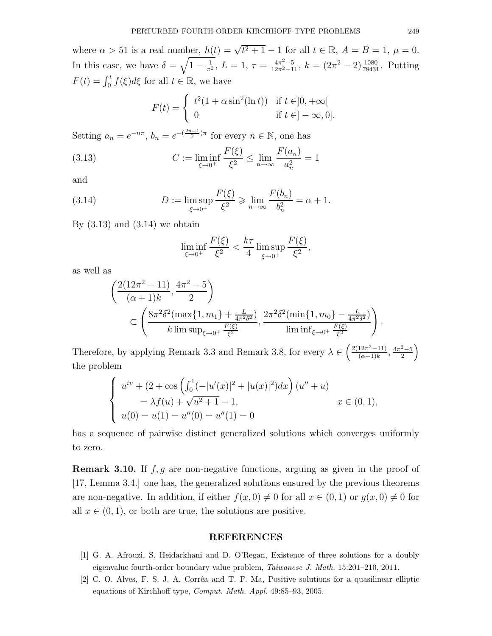where  $\alpha > 51$  is a real number,  $h(t) = \sqrt{t^2 + 1} - 1$  for all  $t \in \mathbb{R}$ ,  $A = B = 1$ ,  $\mu = 0$ . In this case, we have  $\delta = \sqrt{1 - \frac{1}{\pi^2}}$ ,  $L = 1$ ,  $\tau = \frac{4\pi^2 - 5}{12\pi^2 - 11}$ ,  $k = (2\pi^2 - 2)\frac{1080}{78431}$ . Putting  $F(t) = \int_0^t f(\xi) d\xi$  for all  $t \in \mathbb{R}$ , we have

$$
F(t) = \begin{cases} t^2(1+\alpha\sin^2(\ln t)) & \text{if } t \in ]0, +\infty[ \\ 0 & \text{if } t \in ]-\infty, 0]. \end{cases}
$$

Setting  $a_n = e^{-n\pi}, b_n = e^{-\left(\frac{2n+1}{2}\right)\pi}$  for every  $n \in \mathbb{N}$ , one has

(3.13) 
$$
C := \liminf_{\xi \to 0^+} \frac{F(\xi)}{\xi^2} \le \lim_{n \to \infty} \frac{F(a_n)}{a_n^2} = 1
$$

and

(3.14) 
$$
D := \limsup_{\xi \to 0^+} \frac{F(\xi)}{\xi^2} \ge \lim_{n \to \infty} \frac{F(b_n)}{b_n^2} = \alpha + 1.
$$

By  $(3.13)$  and  $(3.14)$  we obtain

$$
\liminf_{\xi \to 0^+} \frac{F(\xi)}{\xi^2} < \frac{k\tau}{4} \limsup_{\xi \to 0^+} \frac{F(\xi)}{\xi^2},
$$

as well as

$$
\frac{\left( \frac{2(12\pi^2 - 11)}{(\alpha + 1)k}, \frac{4\pi^2 - 5}{2} \right)}{\subset \left( \frac{8\pi^2 \delta^2 (\max\{1, m_1\} + \frac{L}{4\pi^2 \delta^2})}{k \limsup_{\xi \to 0^+} \frac{F(\xi)}{\xi^2}, \frac{2\pi^2 \delta^2 (\min\{1, m_0\} - \frac{L}{4\pi^2 \delta^2})}{\liminf_{\xi \to 0^+} \frac{F(\xi)}{\xi^2}} \right)}.
$$

Therefore, by applying Remark 3.3 and Remark 3.8, for every  $\lambda \in \left(\frac{2(12\pi^2-11)}{(\alpha+1)k}\right)$  $\frac{12\pi^2-11}{(\alpha+1)k}, \frac{4\pi^2-5}{2}$ 2  $\setminus$ the problem

$$
\begin{cases}\nu^{iv} + (2 + \cos\left(\int_0^1 (-|u'(x)|^2 + |u(x)|^2) dx\right)(u'' + u) \\
= \lambda f(u) + \sqrt{u^2 + 1} - 1, & x \in (0, 1), \\
u(0) = u(1) = u''(0) = u''(1) = 0\n\end{cases}
$$

has a sequence of pairwise distinct generalized solutions which converges uniformly to zero.

**Remark 3.10.** If  $f, g$  are non-negative functions, arguing as given in the proof of [17, Lemma 3.4.] one has, the generalized solutions ensured by the previous theorems are non-negative. In addition, if either  $f(x, 0) \neq 0$  for all  $x \in (0, 1)$  or  $q(x, 0) \neq 0$  for all  $x \in (0, 1)$ , or both are true, the solutions are positive.

#### REFERENCES

- [1] G. A. Afrouzi, S. Heidarkhani and D. O'Regan, Existence of three solutions for a doubly eigenvalue fourth-order boundary value problem, Taiwanese J. Math. 15:201–210, 2011.
- [2] C. O. Alves, F. S. J. A. Corrêa and T. F. Ma, Positive solutions for a quasilinear elliptic equations of Kirchhoff type, Comput. Math. Appl. 49:85–93, 2005.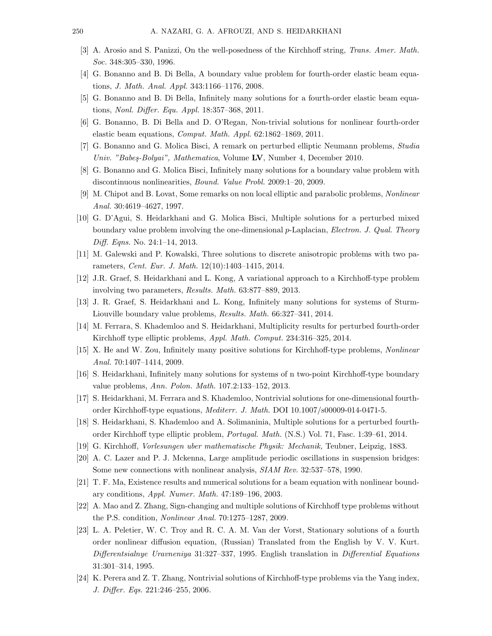- [3] A. Arosio and S. Panizzi, On the well-posedness of the Kirchhoff string, Trans. Amer. Math. Soc. 348:305–330, 1996.
- [4] G. Bonanno and B. Di Bella, A boundary value problem for fourth-order elastic beam equations, J. Math. Anal. Appl. 343:1166–1176, 2008.
- [5] G. Bonanno and B. Di Bella, Infinitely many solutions for a fourth-order elastic beam equations, Nonl. Differ. Equ. Appl. 18:357–368, 2011.
- [6] G. Bonanno, B. Di Bella and D. O'Regan, Non-trivial solutions for nonlinear fourth-order elastic beam equations, Comput. Math. Appl. 62:1862–1869, 2011.
- [7] G. Bonanno and G. Molica Bisci, A remark on perturbed elliptic Neumann problems, Studia Univ. "Babeş-Bolyai", Mathematica, Volume LV, Number 4, December 2010.
- [8] G. Bonanno and G. Molica Bisci, Infinitely many solutions for a boundary value problem with discontinuous nonlinearities, Bound. Value Probl. 2009:1–20, 2009.
- [9] M. Chipot and B. Lovat, Some remarks on non local elliptic and parabolic problems, Nonlinear Anal. 30:4619–4627, 1997.
- [10] G. D'Agui, S. Heidarkhani and G. Molica Bisci, Multiple solutions for a perturbed mixed boundary value problem involving the one-dimensional p-Laplacian, Electron. J. Qual. Theory Diff. Eqns. No. 24:1–14, 2013.
- [11] M. Galewski and P. Kowalski, Three solutions to discrete anisotropic problems with two parameters, Cent. Eur. J. Math. 12(10):1403–1415, 2014.
- [12] J.R. Graef, S. Heidarkhani and L. Kong, A variational approach to a Kirchhoff-type problem involving two parameters, Results. Math. 63:877–889, 2013.
- [13] J. R. Graef, S. Heidarkhani and L. Kong, Infinitely many solutions for systems of Sturm-Liouville boundary value problems, Results. Math. 66:327–341, 2014.
- [14] M. Ferrara, S. Khademloo and S. Heidarkhani, Multiplicity results for perturbed fourth-order Kirchhoff type elliptic problems, Appl. Math. Comput. 234:316–325, 2014.
- [15] X. He and W. Zou, Infinitely many positive solutions for Kirchhoff-type problems, Nonlinear Anal. 70:1407–1414, 2009.
- [16] S. Heidarkhani, Infinitely many solutions for systems of n two-point Kirchhoff-type boundary value problems, Ann. Polon. Math. 107.2:133–152, 2013.
- [17] S. Heidarkhani, M. Ferrara and S. Khademloo, Nontrivial solutions for one-dimensional fourthorder Kirchhoff-type equations, Mediterr. J. Math. DOI 10.1007/s00009-014-0471-5.
- [18] S. Heidarkhani, S. Khademloo and A. Solimaninia, Multiple solutions for a perturbed fourthorder Kirchhoff type elliptic problem, Portugal. Math. (N.S.) Vol. 71, Fasc. 1:39–61, 2014.
- [19] G. Kirchhoff, Vorlesungen uber mathematische Physik: Mechanik, Teubner, Leipzig, 1883.
- [20] A. C. Lazer and P. J. Mckenna, Large amplitude periodic oscillations in suspension bridges: Some new connections with nonlinear analysis, SIAM Rev. 32:537–578, 1990.
- [21] T. F. Ma, Existence results and numerical solutions for a beam equation with nonlinear boundary conditions, Appl. Numer. Math. 47:189–196, 2003.
- [22] A. Mao and Z. Zhang, Sign-changing and multiple solutions of Kirchhoff type problems without the P.S. condition, Nonlinear Anal. 70:1275–1287, 2009.
- [23] L. A. Peletier, W. C. Troy and R. C. A. M. Van der Vorst, Stationary solutions of a fourth order nonlinear diffusion equation, (Russian) Translated from the English by V. V. Kurt. Differentsialnye Uravneniya 31:327–337, 1995. English translation in Differential Equations 31:301–314, 1995.
- [24] K. Perera and Z. T. Zhang, Nontrivial solutions of Kirchhoff-type problems via the Yang index, J. Differ. Eqs. 221:246–255, 2006.